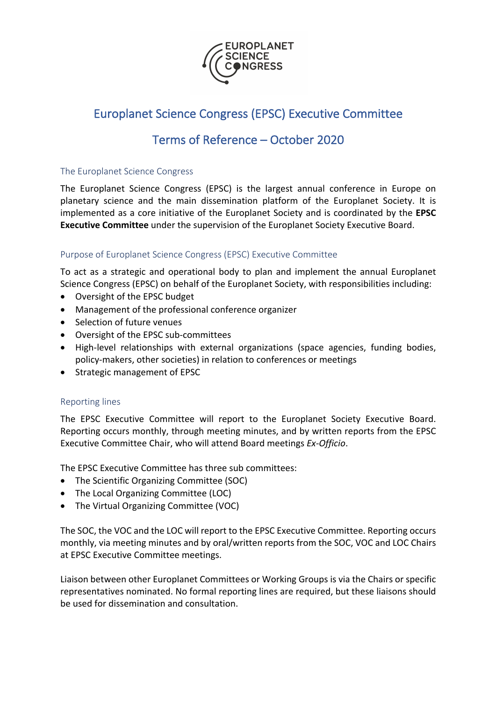

# Europlanet Science Congress (EPSC) Executive Committee

## Terms of Reference – October 2020

#### The Europlanet Science Congress

The Europlanet Science Congress (EPSC) is the largest annual conference in Europe on planetary science and the main dissemination platform of the Europlanet Society. It is implemented as a core initiative of the Europlanet Society and is coordinated by the **EPSC Executive Committee** under the supervision of the Europlanet Society Executive Board.

### Purpose of Europlanet Science Congress (EPSC) Executive Committee

To act as a strategic and operational body to plan and implement the annual Europlanet Science Congress (EPSC) on behalf of the Europlanet Society, with responsibilities including:

- Oversight of the EPSC budget
- Management of the professional conference organizer
- Selection of future venues
- Oversight of the EPSC sub-committees
- High-level relationships with external organizations (space agencies, funding bodies, policy-makers, other societies) in relation to conferences or meetings
- Strategic management of EPSC

### Reporting lines

The EPSC Executive Committee will report to the Europlanet Society Executive Board. Reporting occurs monthly, through meeting minutes, and by written reports from the EPSC Executive Committee Chair, who will attend Board meetings *Ex-Officio*.

The EPSC Executive Committee has three sub committees:

- The Scientific Organizing Committee (SOC)
- The Local Organizing Committee (LOC)
- The Virtual Organizing Committee (VOC)

The SOC, the VOC and the LOC will report to the EPSC Executive Committee. Reporting occurs monthly, via meeting minutes and by oral/written reports from the SOC, VOC and LOC Chairs at EPSC Executive Committee meetings.

Liaison between other Europlanet Committees or Working Groups is via the Chairs or specific representatives nominated. No formal reporting lines are required, but these liaisons should be used for dissemination and consultation.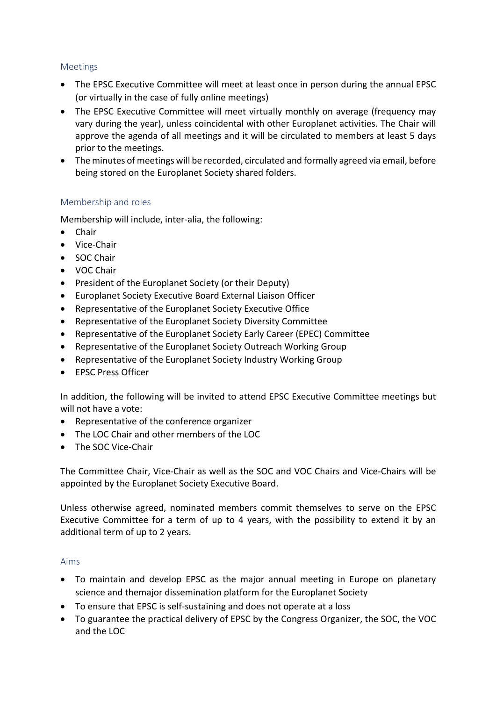### Meetings

- The EPSC Executive Committee will meet at least once in person during the annual EPSC (or virtually in the case of fully online meetings)
- The EPSC Executive Committee will meet virtually monthly on average (frequency may vary during the year), unless coincidental with other Europlanet activities. The Chair will approve the agenda of all meetings and it will be circulated to members at least 5 days prior to the meetings.
- The minutes of meetings will be recorded, circulated and formally agreed via email, before being stored on the Europlanet Society shared folders.

### Membership and roles

Membership will include, inter-alia, the following:

- Chair
- Vice-Chair
- SOC Chair
- VOC Chair
- President of the Europlanet Society (or their Deputy)
- Europlanet Society Executive Board External Liaison Officer
- Representative of the Europlanet Society Executive Office
- Representative of the Europlanet Society Diversity Committee
- Representative of the Europlanet Society Early Career (EPEC) Committee
- Representative of the Europlanet Society Outreach Working Group
- Representative of the Europlanet Society Industry Working Group
- EPSC Press Officer

In addition, the following will be invited to attend EPSC Executive Committee meetings but will not have a vote:

- Representative of the conference organizer
- The LOC Chair and other members of the LOC
- The SOC Vice-Chair

The Committee Chair, Vice-Chair as well as the SOC and VOC Chairs and Vice-Chairs will be appointed by the Europlanet Society Executive Board.

Unless otherwise agreed, nominated members commit themselves to serve on the EPSC Executive Committee for a term of up to 4 years, with the possibility to extend it by an additional term of up to 2 years.

### Aims

- To maintain and develop EPSC as the major annual meeting in Europe on planetary science and themajor dissemination platform for the Europlanet Society
- To ensure that EPSC is self-sustaining and does not operate at a loss
- To guarantee the practical delivery of EPSC by the Congress Organizer, the SOC, the VOC and the LOC